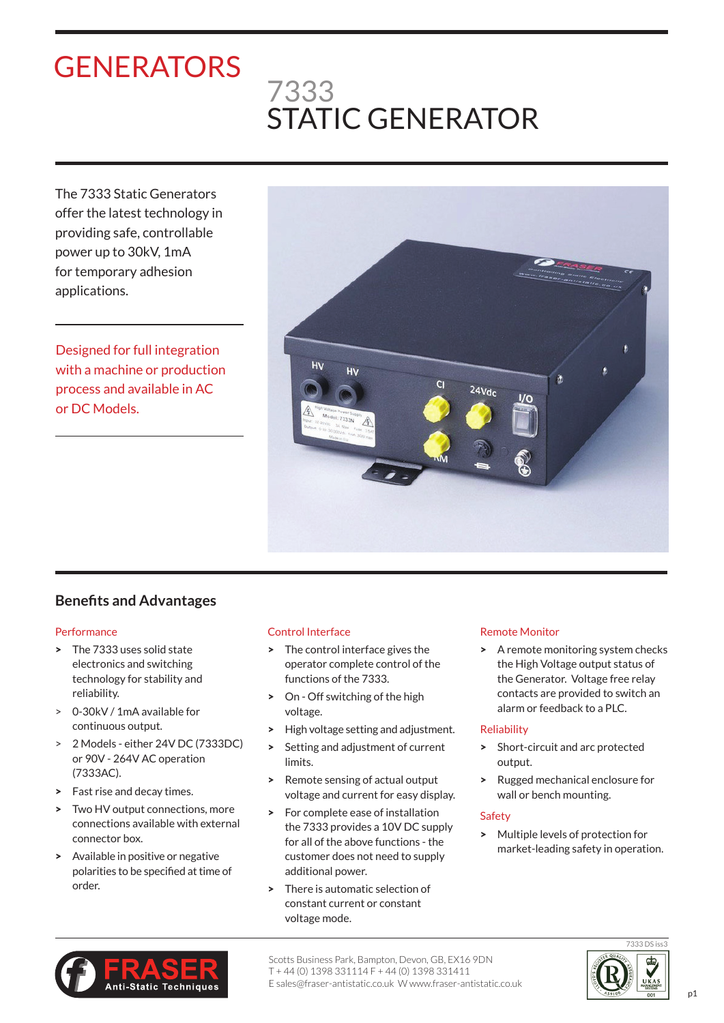# **GENERATORS**

## 7333 STATIC GENERATOR

The 7333 Static Generators offer the latest technology in providing safe, controllable power up to 30kV, 1mA for temporary adhesion applications.

Designed for full integration with a machine or production process and available in AC or DC Models.



### **Benefits and Advantages**

#### **Performance**

- > The 7333 uses solid state electronics and switching technology for stability and reliability.
- > 0-30kV / 1mA available for continuous output.
- > 2 Models either 24V DC (7333DC) or 90V - 264V AC operation (7333AC).
- > Fast rise and decay times.
- > Two HV output connections, more connections available with external connector box.
- > Available in positive or negative polarities to be specified at time of order.

#### Control Interface

- > The control interface gives the operator complete control of the functions of the 7333.
- > On Off switching of the high voltage.
- > High voltage setting and adjustment.
- > Setting and adjustment of current limits.
- > Remote sensing of actual output voltage and current for easy display.
- > For complete ease of installation the 7333 provides a 10V DC supply for all of the above functions - the customer does not need to supply additional power.
- > There is automatic selection of constant current or constant voltage mode.

#### Remote Monitor

> A remote monitoring system checks the High Voltage output status of the Generator. Voltage free relay contacts are provided to switch an alarm or feedback to a PLC.

#### Reliability

- > Short-circuit and arc protected output.
- > Rugged mechanical enclosure for wall or bench mounting.

#### Safety

> Multiple levels of protection for market-leading safety in operation.